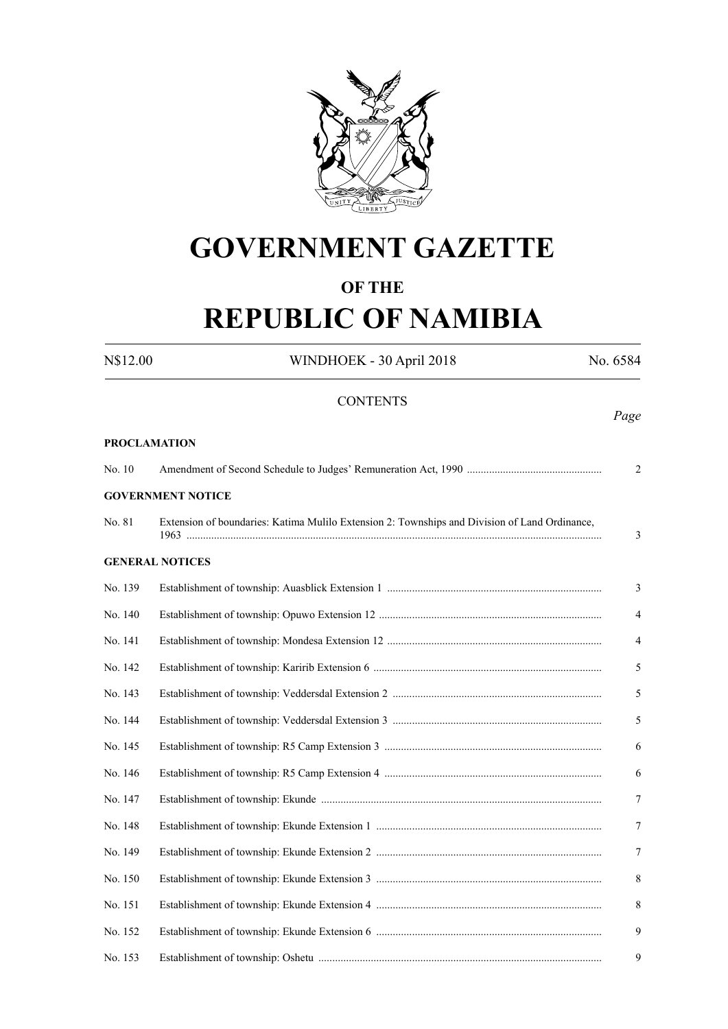

# **GOVERNMENT GAZETTE**

## **OF THE**

# **REPUBLIC OF NAMIBIA**

N\$12.00 WINDHOEK - 30 April 2018 No. 6584 **CONTENTS** *Page* **PROCLAMATION** No. 10 Amendment of Second Schedule to Judges' Remuneration Act, 1990 ................................................. 2 **GOVERNMENT NOTICE** No. 81 Extension of boundaries: Katima Mulilo Extension 2: Townships and Division of Land Ordinance, 1963 ....................................................................................................................................................... 3 **GENERAL NOTICES** No. 139 Establishment of township: Auasblick Extension 1 .............................................................................. 3 No. 140 Establishment of township: Opuwo Extension 12 ................................................................................. 4 No. 141 Establishment of township: Mondesa Extension 12 .............................................................................. 4 No. 142 Establishment of township: Karirib Extension 6 ................................................................................... 5 No. 143 Establishment of township: Veddersdal Extension 2 ............................................................................ 5 No. 144 Establishment of township: Veddersdal Extension 3 ............................................................................ 5 No. 145 Establishment of township: R5 Camp Extension 3 ............................................................................... 6 No. 146 Establishment of township: R5 Camp Extension 4 ............................................................................... 6 No. 147 Establishment of township: Ekunde ...................................................................................................... 7 No. 148 Establishment of township: Ekunde Extension 1 .................................................................................. 7 No. 149 Establishment of township: Ekunde Extension 2 .................................................................................. 7 No. 150 Establishment of township: Ekunde Extension 3 .................................................................................. 8 No. 151 Establishment of township: Ekunde Extension 4 .................................................................................. 8 No. 152 Establishment of township: Ekunde Extension 6 .................................................................................. 9 No. 153 Establishment of township: Oshetu ....................................................................................................... 9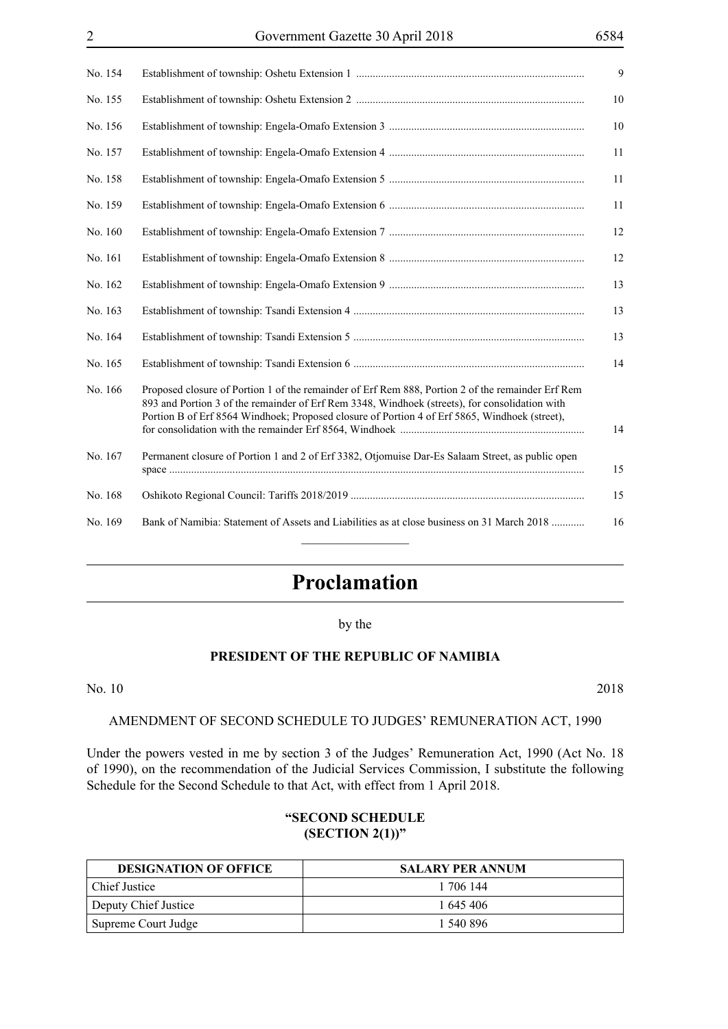| No. 154 | 9                                                                                                                                                                                                                                                                                                          |
|---------|------------------------------------------------------------------------------------------------------------------------------------------------------------------------------------------------------------------------------------------------------------------------------------------------------------|
| No. 155 | 10                                                                                                                                                                                                                                                                                                         |
| No. 156 | 10                                                                                                                                                                                                                                                                                                         |
| No. 157 | 11                                                                                                                                                                                                                                                                                                         |
| No. 158 | 11                                                                                                                                                                                                                                                                                                         |
| No. 159 | 11                                                                                                                                                                                                                                                                                                         |
| No. 160 | 12                                                                                                                                                                                                                                                                                                         |
| No. 161 | 12                                                                                                                                                                                                                                                                                                         |
| No. 162 | 13                                                                                                                                                                                                                                                                                                         |
| No. 163 | 13                                                                                                                                                                                                                                                                                                         |
| No. 164 | 13                                                                                                                                                                                                                                                                                                         |
| No. 165 | 14                                                                                                                                                                                                                                                                                                         |
| No. 166 | Proposed closure of Portion 1 of the remainder of Erf Rem 888, Portion 2 of the remainder Erf Rem<br>893 and Portion 3 of the remainder of Erf Rem 3348, Windhoek (streets), for consolidation with<br>Portion B of Erf 8564 Windhoek; Proposed closure of Portion 4 of Erf 5865, Windhoek (street),<br>14 |
| No. 167 | Permanent closure of Portion 1 and 2 of Erf 3382, Otjomuise Dar-Es Salaam Street, as public open<br>15                                                                                                                                                                                                     |
| No. 168 | 15                                                                                                                                                                                                                                                                                                         |
| No. 169 | Bank of Namibia: Statement of Assets and Liabilities as at close business on 31 March 2018<br>16                                                                                                                                                                                                           |

## **Proclamation**

by the

## **PRESIDENT OF THE REPUBLIC OF NAMIBIA**

#### No. 10 2018

#### AMENDMENT OF SECOND SCHEDULE TO JUDGES' REMUNERATION ACT, 1990

Under the powers vested in me by section 3 of the Judges' Remuneration Act, 1990 (Act No. 18 of 1990), on the recommendation of the Judicial Services Commission, I substitute the following Schedule for the Second Schedule to that Act, with effect from 1 April 2018.

## **"SECOND SCHEDULE (SECTION 2(1))"**

| <b>DESIGNATION OF OFFICE</b> | <b>SALARY PER ANNUM</b> |
|------------------------------|-------------------------|
| Chief Justice                | 1 706 144               |
| Deputy Chief Justice         | 1 645 406               |
| Supreme Court Judge          | 1 540 896               |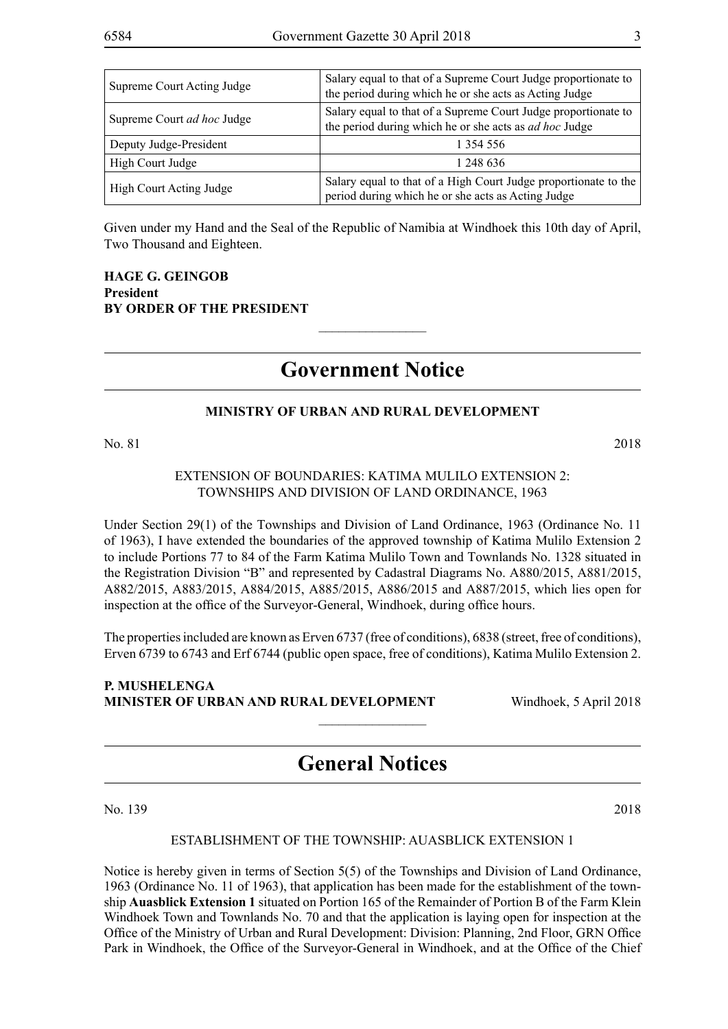| Supreme Court Acting Judge | Salary equal to that of a Supreme Court Judge proportionate to<br>the period during which he or she acts as Acting Judge        |
|----------------------------|---------------------------------------------------------------------------------------------------------------------------------|
| Supreme Court ad hoc Judge | Salary equal to that of a Supreme Court Judge proportionate to<br>the period during which he or she acts as <i>ad hoc</i> Judge |
| Deputy Judge-President     | 1 354 556                                                                                                                       |
| High Court Judge           | 1 248 636                                                                                                                       |
| High Court Acting Judge    | Salary equal to that of a High Court Judge proportionate to the<br>period during which he or she acts as Acting Judge           |

Given under my Hand and the Seal of the Republic of Namibia at Windhoek this 10th day of April, Two Thousand and Eighteen.

## **HAGE G. GEINGOB President BY ORDER OF THE PRESIDENT**

## **Government Notice**

 $\frac{1}{2}$ 

## **MINISTRY OF URBAN AND RURAL DEVELOPMENT**

No. 81 2018

## EXTENSION OF BOUNDARIES: KATIMA MULILO EXTENSION 2: TOWNSHIPS AND DIVISION OF LAND ORDINANCE, 1963

Under Section 29(1) of the Townships and Division of Land Ordinance, 1963 (Ordinance No. 11 of 1963), I have extended the boundaries of the approved township of Katima Mulilo Extension 2 to include Portions 77 to 84 of the Farm Katima Mulilo Town and Townlands No. 1328 situated in the Registration Division "B" and represented by Cadastral Diagrams No. A880/2015, A881/2015, A882/2015, A883/2015, A884/2015, A885/2015, A886/2015 and A887/2015, which lies open for inspection at the office of the Surveyor-General, Windhoek, during office hours.

The properties included are known as Erven 6737 (free of conditions), 6838 (street, free of conditions), Erven 6739 to 6743 and Erf 6744 (public open space, free of conditions), Katima Mulilo Extension 2.

## **P. Mushelenga Minister of Urban and Rural Development** Windhoek, 5 April 2018

## **General Notices**

 $\overline{\phantom{a}}$  , where  $\overline{\phantom{a}}$ 

No. 139 2018

## ESTABLISHMENT OF THE TOWNSHIP: AUASBLICK EXTENSION 1

Notice is hereby given in terms of Section 5(5) of the Townships and Division of Land Ordinance, 1963 (Ordinance No. 11 of 1963), that application has been made for the establishment of the township **Auasblick Extension 1** situated on Portion 165 of the Remainder of Portion B of the Farm Klein Windhoek Town and Townlands No. 70 and that the application is laying open for inspection at the Office of the Ministry of Urban and Rural Development: Division: Planning, 2nd Floor, GRN Office Park in Windhoek, the Office of the Surveyor-General in Windhoek, and at the Office of the Chief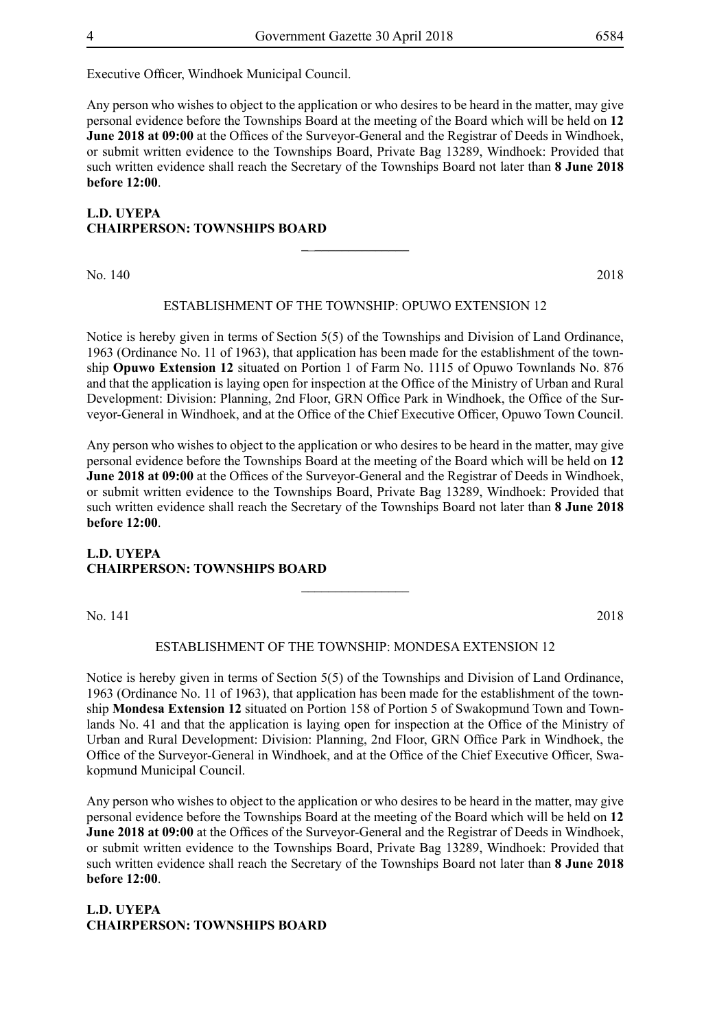Executive Officer, Windhoek Municipal Council.

Any person who wishes to object to the application or who desires to be heard in the matter, may give personal evidence before the Townships Board at the meeting of the Board which will be held on **12 June 2018 at 09:00** at the Offices of the Surveyor-General and the Registrar of Deeds in Windhoek, or submit written evidence to the Townships Board, Private Bag 13289, Windhoek: Provided that such written evidence shall reach the Secretary of the Townships Board not later than **8 June 2018 before 12:00**.

## **L.D. UYEPA CHAIRPERSON: TOWNSHIPS BOARD**

No. 140 2018

## ESTABLISHMENT OF THE TOWNSHIP: OPUWO EXTENSION 12

**\_**\_**\_\_\_\_\_\_\_\_\_\_\_\_\_\_**

Notice is hereby given in terms of Section 5(5) of the Townships and Division of Land Ordinance, 1963 (Ordinance No. 11 of 1963), that application has been made for the establishment of the township **Opuwo Extension 12** situated on Portion 1 of Farm No. 1115 of Opuwo Townlands No. 876 and that the application is laying open for inspection at the Office of the Ministry of Urban and Rural Development: Division: Planning, 2nd Floor, GRN Office Park in Windhoek, the Office of the Surveyor-General in Windhoek, and at the Office of the Chief Executive Officer, Opuwo Town Council.

Any person who wishes to object to the application or who desires to be heard in the matter, may give personal evidence before the Townships Board at the meeting of the Board which will be held on **12 June 2018 at 09:00** at the Offices of the Surveyor-General and the Registrar of Deeds in Windhoek. or submit written evidence to the Townships Board, Private Bag 13289, Windhoek: Provided that such written evidence shall reach the Secretary of the Townships Board not later than **8 June 2018 before 12:00**.

## **L.D. UYEPA CHAIRPERSON: TOWNSHIPS BOARD**

No. 141 2018

#### ESTABLISHMENT OF THE TOWNSHIP: MONDESA EXTENSION 12

 $\frac{1}{2}$ 

Notice is hereby given in terms of Section 5(5) of the Townships and Division of Land Ordinance, 1963 (Ordinance No. 11 of 1963), that application has been made for the establishment of the township **Mondesa Extension 12** situated on Portion 158 of Portion 5 of Swakopmund Town and Townlands No. 41 and that the application is laying open for inspection at the Office of the Ministry of Urban and Rural Development: Division: Planning, 2nd Floor, GRN Office Park in Windhoek, the Office of the Surveyor-General in Windhoek, and at the Office of the Chief Executive Officer, Swakopmund Municipal Council.

Any person who wishes to object to the application or who desires to be heard in the matter, may give personal evidence before the Townships Board at the meeting of the Board which will be held on **12 June 2018 at 09:00** at the Offices of the Surveyor-General and the Registrar of Deeds in Windhoek, or submit written evidence to the Townships Board, Private Bag 13289, Windhoek: Provided that such written evidence shall reach the Secretary of the Townships Board not later than **8 June 2018 before 12:00**.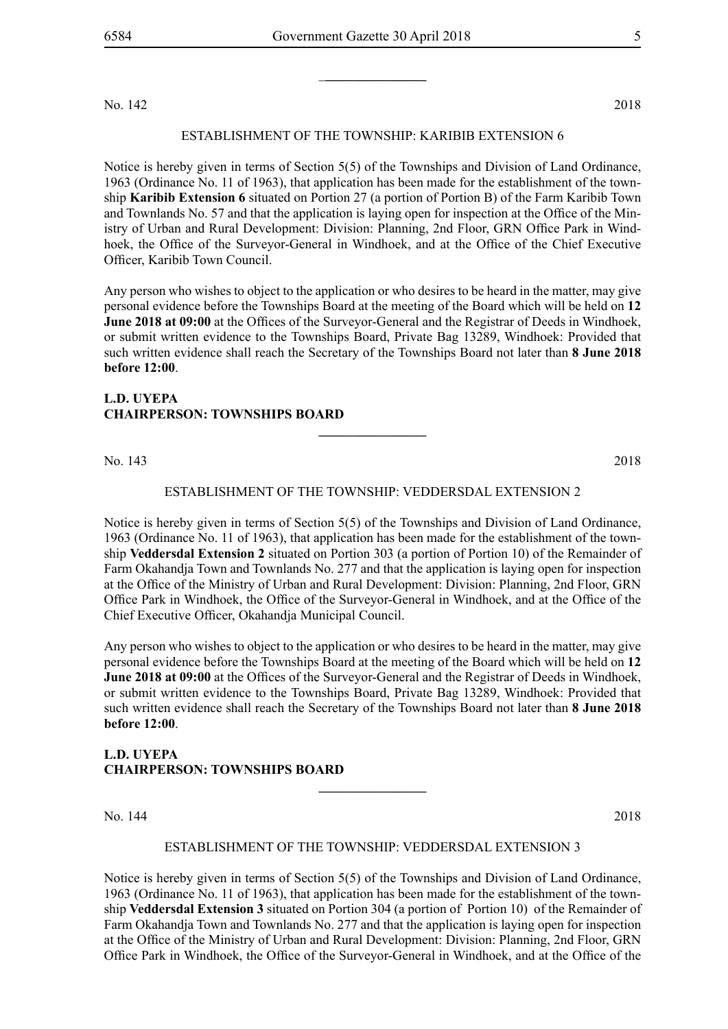No. 142 2018

#### ESTABLISHMENT OF THE TOWNSHIP: karibib extension 6

Notice is hereby given in terms of Section 5(5) of the Townships and Division of Land Ordinance, 1963 (Ordinance No. 11 of 1963), that application has been made for the establishment of the township **Karibib Extension 6** situated on Portion 27 (a portion of Portion B) of the Farm Karibib Town and Townlands No. 57 and that the application is laying open for inspection at the Office of the Ministry of Urban and Rural Development: Division: Planning, 2nd Floor, GRN Office Park in Windhoek, the Office of the Surveyor-General in Windhoek, and at the Office of the Chief Executive Officer, Karibib Town Council.

Any person who wishes to object to the application or who desires to be heard in the matter, may give personal evidence before the Townships Board at the meeting of the Board which will be held on **12 June 2018 at 09:00** at the Offices of the Surveyor-General and the Registrar of Deeds in Windhoek, or submit written evidence to the Townships Board, Private Bag 13289, Windhoek: Provided that such written evidence shall reach the Secretary of the Townships Board not later than **8 June 2018 before 12:00**.

## **L.D. UYEPA CHAIRPERSON: TOWNSHIPS BOARD**

No. 143 2018

#### ESTABLISHMENT OF THE TOWNSHIP: veddersdal extension 2

**\_\_\_\_\_\_\_\_\_\_\_\_\_\_\_\_**

Notice is hereby given in terms of Section 5(5) of the Townships and Division of Land Ordinance, 1963 (Ordinance No. 11 of 1963), that application has been made for the establishment of the township **Veddersdal Extension 2** situated on Portion 303 (a portion of Portion 10) of the Remainder of Farm Okahandja Town and Townlands No. 277 and that the application is laying open for inspection at the Office of the Ministry of Urban and Rural Development: Division: Planning, 2nd Floor, GRN Office Park in Windhoek, the Office of the Surveyor-General in Windhoek, and at the Office of the Chief Executive Officer, Okahandja Municipal Council.

Any person who wishes to object to the application or who desires to be heard in the matter, may give personal evidence before the Townships Board at the meeting of the Board which will be held on **12 June 2018 at 09:00** at the Offices of the Surveyor-General and the Registrar of Deeds in Windhoek, or submit written evidence to the Townships Board, Private Bag 13289, Windhoek: Provided that such written evidence shall reach the Secretary of the Townships Board not later than **8 June 2018 before 12:00**.

## **L.D. UYEPA CHAIRPERSON: TOWNSHIPS BOARD**

No. 144 2018

#### ESTABLISHMENT OF THE TOWNSHIP: veddersdal extension 3

**\_\_\_\_\_\_\_\_\_\_\_\_\_\_\_\_**

Notice is hereby given in terms of Section 5(5) of the Townships and Division of Land Ordinance, 1963 (Ordinance No. 11 of 1963), that application has been made for the establishment of the township **Veddersdal Extension 3** situated on Portion 304 (a portion of Portion 10) of the Remainder of Farm Okahandja Town and Townlands No. 277 and that the application is laying open for inspection at the Office of the Ministry of Urban and Rural Development: Division: Planning, 2nd Floor, GRN Office Park in Windhoek, the Office of the Surveyor-General in Windhoek, and at the Office of the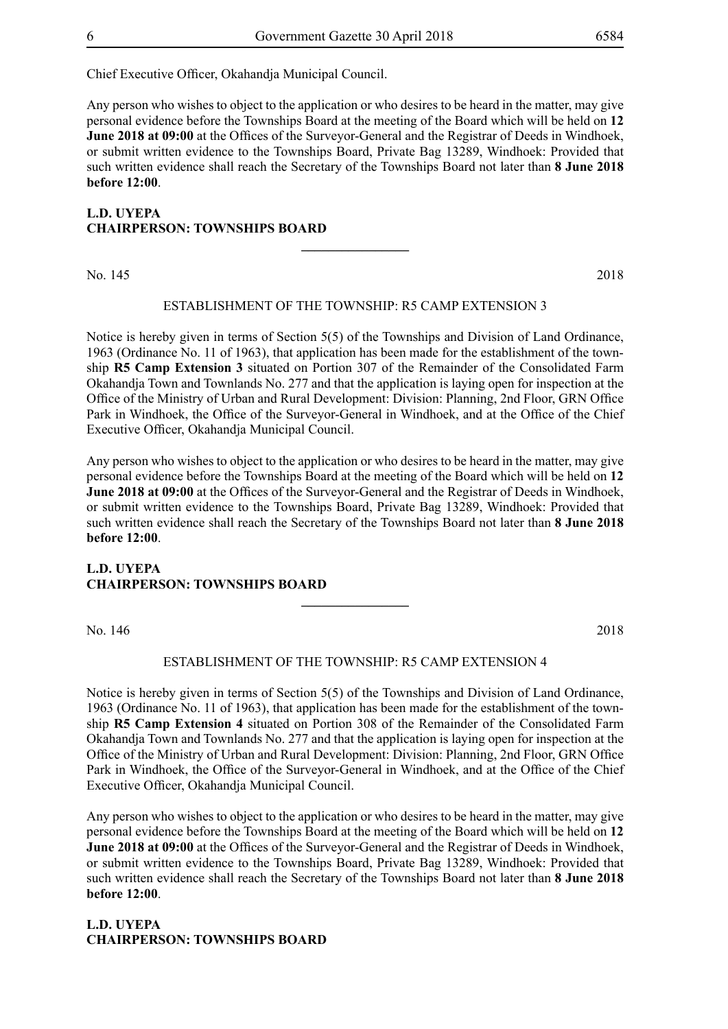Chief Executive Officer, Okahandja Municipal Council.

Any person who wishes to object to the application or who desires to be heard in the matter, may give personal evidence before the Townships Board at the meeting of the Board which will be held on **12 June 2018 at 09:00** at the Offices of the Surveyor-General and the Registrar of Deeds in Windhoek, or submit written evidence to the Townships Board, Private Bag 13289, Windhoek: Provided that such written evidence shall reach the Secretary of the Townships Board not later than **8 June 2018 before 12:00**.

## **L.D. UYEPA CHAIRPERSON: TOWNSHIPS BOARD**

No. 145 2018

#### ESTABLISHMENT OF THE TOWNSHIP: r5 camp extension 3

**\_\_\_\_\_\_\_\_\_\_\_\_\_\_\_\_**

Notice is hereby given in terms of Section 5(5) of the Townships and Division of Land Ordinance, 1963 (Ordinance No. 11 of 1963), that application has been made for the establishment of the township **R5 Camp Extension 3** situated on Portion 307 of the Remainder of the Consolidated Farm Okahandja Town and Townlands No. 277 and that the application is laying open for inspection at the Office of the Ministry of Urban and Rural Development: Division: Planning, 2nd Floor, GRN Office Park in Windhoek, the Office of the Surveyor-General in Windhoek, and at the Office of the Chief Executive Officer, Okahandja Municipal Council.

Any person who wishes to object to the application or who desires to be heard in the matter, may give personal evidence before the Townships Board at the meeting of the Board which will be held on **12 June 2018 at 09:00** at the Offices of the Surveyor-General and the Registrar of Deeds in Windhoek, or submit written evidence to the Townships Board, Private Bag 13289, Windhoek: Provided that such written evidence shall reach the Secretary of the Townships Board not later than **8 June 2018 before 12:00**.

## **L.D. UYEPA CHAIRPERSON: TOWNSHIPS BOARD**

No. 146 2018

#### ESTABLISHMENT OF THE TOWNSHIP: r5 camp extension 4

**\_\_\_\_\_\_\_\_\_\_\_\_\_\_\_\_**

Notice is hereby given in terms of Section 5(5) of the Townships and Division of Land Ordinance, 1963 (Ordinance No. 11 of 1963), that application has been made for the establishment of the township **R5 Camp Extension 4** situated on Portion 308 of the Remainder of the Consolidated Farm Okahandja Town and Townlands No. 277 and that the application is laying open for inspection at the Office of the Ministry of Urban and Rural Development: Division: Planning, 2nd Floor, GRN Office Park in Windhoek, the Office of the Surveyor-General in Windhoek, and at the Office of the Chief Executive Officer, Okahandja Municipal Council.

Any person who wishes to object to the application or who desires to be heard in the matter, may give personal evidence before the Townships Board at the meeting of the Board which will be held on **12 June 2018 at 09:00** at the Offices of the Surveyor-General and the Registrar of Deeds in Windhoek, or submit written evidence to the Townships Board, Private Bag 13289, Windhoek: Provided that such written evidence shall reach the Secretary of the Townships Board not later than **8 June 2018 before 12:00**.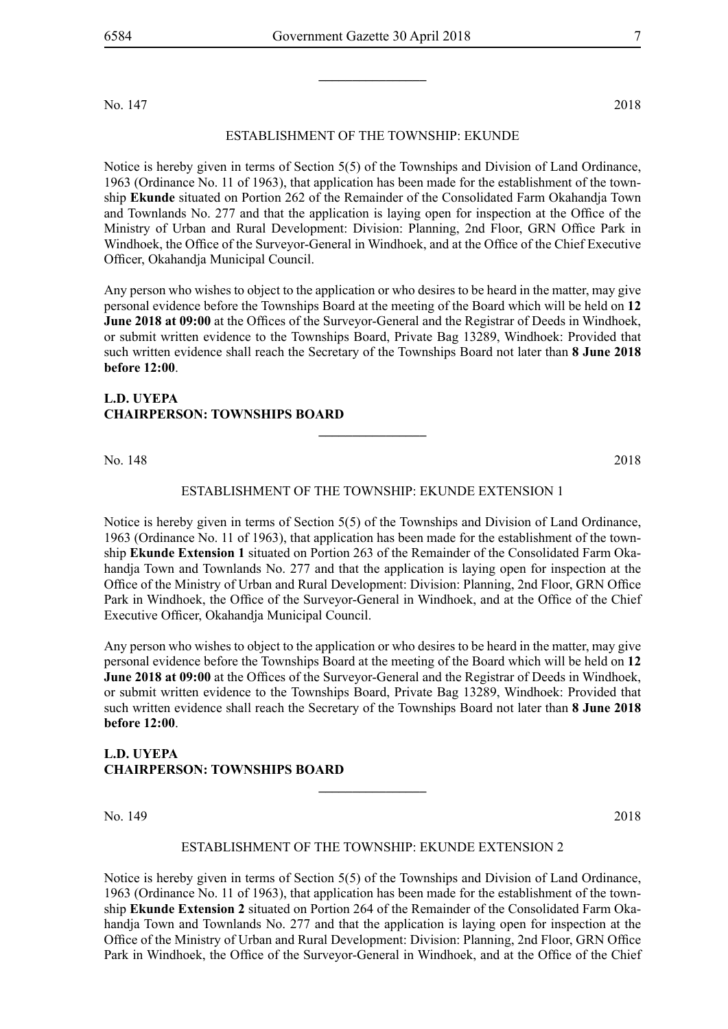No. 147 2018

#### ESTABLISHMENT OF THE TOWNSHIP: ekunde

Notice is hereby given in terms of Section 5(5) of the Townships and Division of Land Ordinance, 1963 (Ordinance No. 11 of 1963), that application has been made for the establishment of the township **Ekunde** situated on Portion 262 of the Remainder of the Consolidated Farm Okahandja Town and Townlands No. 277 and that the application is laying open for inspection at the Office of the Ministry of Urban and Rural Development: Division: Planning, 2nd Floor, GRN Office Park in Windhoek, the Office of the Surveyor-General in Windhoek, and at the Office of the Chief Executive Officer, Okahandja Municipal Council.

Any person who wishes to object to the application or who desires to be heard in the matter, may give personal evidence before the Townships Board at the meeting of the Board which will be held on **12 June 2018 at 09:00** at the Offices of the Surveyor-General and the Registrar of Deeds in Windhoek, or submit written evidence to the Townships Board, Private Bag 13289, Windhoek: Provided that such written evidence shall reach the Secretary of the Townships Board not later than **8 June 2018 before 12:00**.

## **L.D. UYEPA CHAIRPERSON: TOWNSHIPS BOARD**

No. 148 2018

#### ESTABLISHMENT OF THE TOWNSHIP: ekunde EXTENSION 1

**\_\_\_\_\_\_\_\_\_\_\_\_\_\_\_\_**

Notice is hereby given in terms of Section 5(5) of the Townships and Division of Land Ordinance, 1963 (Ordinance No. 11 of 1963), that application has been made for the establishment of the township **Ekunde Extension 1** situated on Portion 263 of the Remainder of the Consolidated Farm Okahandja Town and Townlands No. 277 and that the application is laying open for inspection at the Office of the Ministry of Urban and Rural Development: Division: Planning, 2nd Floor, GRN Office Park in Windhoek, the Office of the Surveyor-General in Windhoek, and at the Office of the Chief Executive Officer, Okahandja Municipal Council.

Any person who wishes to object to the application or who desires to be heard in the matter, may give personal evidence before the Townships Board at the meeting of the Board which will be held on **12 June 2018 at 09:00** at the Offices of the Surveyor-General and the Registrar of Deeds in Windhoek, or submit written evidence to the Townships Board, Private Bag 13289, Windhoek: Provided that such written evidence shall reach the Secretary of the Townships Board not later than **8 June 2018 before 12:00**.

## **L.D. UYEPA CHAIRPERSON: TOWNSHIPS BOARD**

No. 149 2018

#### ESTABLISHMENT OF THE TOWNSHIP: ekunde EXTENSION 2

**\_\_\_\_\_\_\_\_\_\_\_\_\_\_\_\_**

Notice is hereby given in terms of Section 5(5) of the Townships and Division of Land Ordinance, 1963 (Ordinance No. 11 of 1963), that application has been made for the establishment of the township **Ekunde Extension 2** situated on Portion 264 of the Remainder of the Consolidated Farm Okahandja Town and Townlands No. 277 and that the application is laying open for inspection at the Office of the Ministry of Urban and Rural Development: Division: Planning, 2nd Floor, GRN Office Park in Windhoek, the Office of the Surveyor-General in Windhoek, and at the Office of the Chief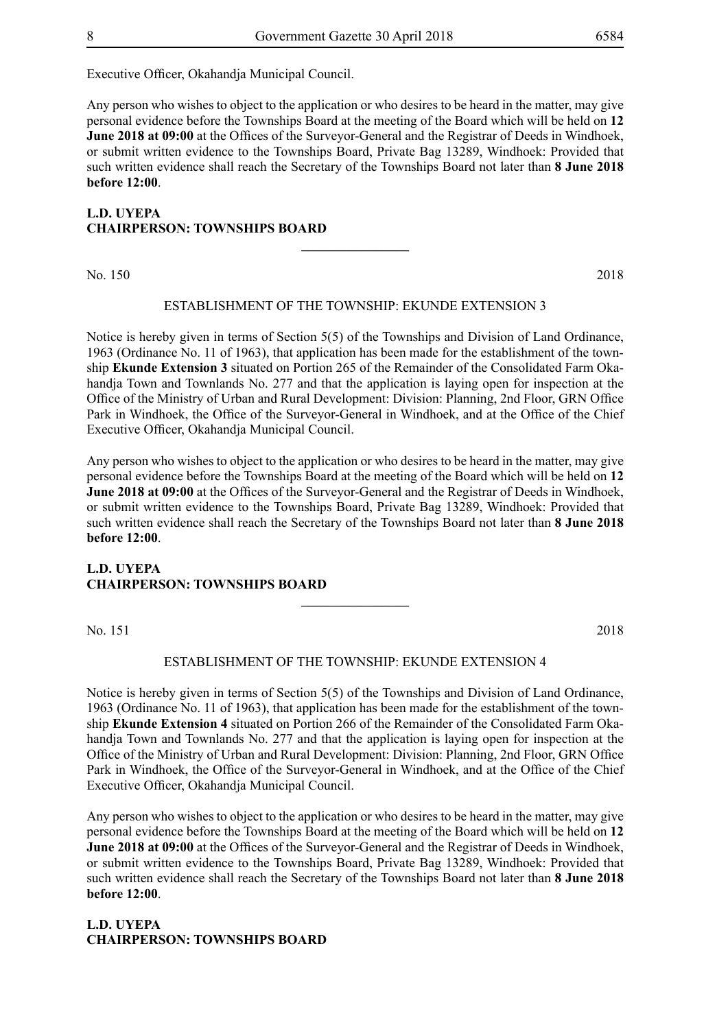Executive Officer, Okahandja Municipal Council.

Any person who wishes to object to the application or who desires to be heard in the matter, may give personal evidence before the Townships Board at the meeting of the Board which will be held on **12 June 2018 at 09:00** at the Offices of the Surveyor-General and the Registrar of Deeds in Windhoek, or submit written evidence to the Townships Board, Private Bag 13289, Windhoek: Provided that such written evidence shall reach the Secretary of the Townships Board not later than **8 June 2018 before 12:00**.

## **L.D. UYEPA CHAIRPERSON: TOWNSHIPS BOARD \_\_\_\_\_\_\_\_\_\_\_\_\_\_\_\_**

No. 150 2018

#### ESTABLISHMENT OF THE TOWNSHIP: ekunde EXTENSION 3

Notice is hereby given in terms of Section 5(5) of the Townships and Division of Land Ordinance, 1963 (Ordinance No. 11 of 1963), that application has been made for the establishment of the township **Ekunde Extension 3** situated on Portion 265 of the Remainder of the Consolidated Farm Okahandia Town and Townlands No. 277 and that the application is laying open for inspection at the Office of the Ministry of Urban and Rural Development: Division: Planning, 2nd Floor, GRN Office Park in Windhoek, the Office of the Surveyor-General in Windhoek, and at the Office of the Chief Executive Officer, Okahandja Municipal Council.

Any person who wishes to object to the application or who desires to be heard in the matter, may give personal evidence before the Townships Board at the meeting of the Board which will be held on **12 June 2018 at 09:00** at the Offices of the Surveyor-General and the Registrar of Deeds in Windhoek, or submit written evidence to the Townships Board, Private Bag 13289, Windhoek: Provided that such written evidence shall reach the Secretary of the Townships Board not later than **8 June 2018 before 12:00**.

## **L.D. UYEPA CHAIRPERSON: TOWNSHIPS BOARD**

No. 151 2018

#### ESTABLISHMENT OF THE TOWNSHIP: ekunde EXTENSION 4

**\_\_\_\_\_\_\_\_\_\_\_\_\_\_\_\_**

Notice is hereby given in terms of Section 5(5) of the Townships and Division of Land Ordinance, 1963 (Ordinance No. 11 of 1963), that application has been made for the establishment of the township **Ekunde Extension 4** situated on Portion 266 of the Remainder of the Consolidated Farm Okahandja Town and Townlands No. 277 and that the application is laying open for inspection at the Office of the Ministry of Urban and Rural Development: Division: Planning, 2nd Floor, GRN Office Park in Windhoek, the Office of the Surveyor-General in Windhoek, and at the Office of the Chief Executive Officer, Okahandja Municipal Council.

Any person who wishes to object to the application or who desires to be heard in the matter, may give personal evidence before the Townships Board at the meeting of the Board which will be held on **12 June 2018 at 09:00** at the Offices of the Surveyor-General and the Registrar of Deeds in Windhoek, or submit written evidence to the Townships Board, Private Bag 13289, Windhoek: Provided that such written evidence shall reach the Secretary of the Townships Board not later than **8 June 2018 before 12:00**.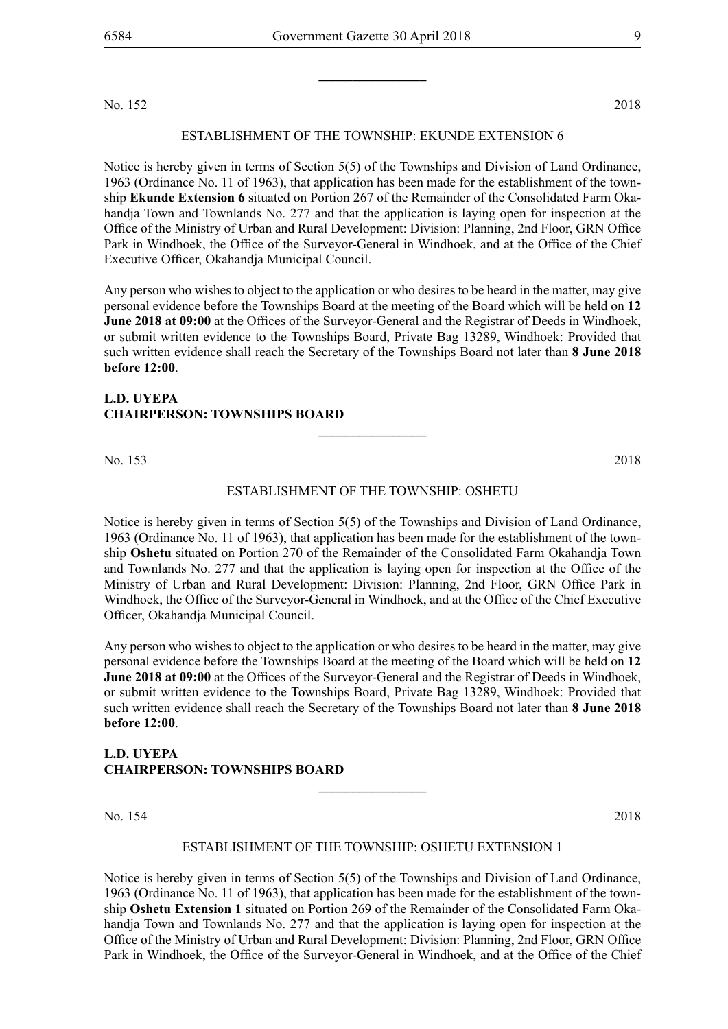No. 152 2018

#### ESTABLISHMENT OF THE TOWNSHIP: ekunde EXTENSION 6

Notice is hereby given in terms of Section 5(5) of the Townships and Division of Land Ordinance, 1963 (Ordinance No. 11 of 1963), that application has been made for the establishment of the township **Ekunde Extension 6** situated on Portion 267 of the Remainder of the Consolidated Farm Okahandja Town and Townlands No. 277 and that the application is laying open for inspection at the Office of the Ministry of Urban and Rural Development: Division: Planning, 2nd Floor, GRN Office Park in Windhoek, the Office of the Surveyor-General in Windhoek, and at the Office of the Chief Executive Officer, Okahandja Municipal Council.

Any person who wishes to object to the application or who desires to be heard in the matter, may give personal evidence before the Townships Board at the meeting of the Board which will be held on **12 June 2018 at 09:00** at the Offices of the Surveyor-General and the Registrar of Deeds in Windhoek, or submit written evidence to the Townships Board, Private Bag 13289, Windhoek: Provided that such written evidence shall reach the Secretary of the Townships Board not later than **8 June 2018 before 12:00**.

## **L.D. UYEPA CHAIRPERSON: TOWNSHIPS BOARD**

No. 153 2018

#### ESTABLISHMENT OF THE TOWNSHIP: OSHETU

**\_\_\_\_\_\_\_\_\_\_\_\_\_\_\_\_**

Notice is hereby given in terms of Section 5(5) of the Townships and Division of Land Ordinance, 1963 (Ordinance No. 11 of 1963), that application has been made for the establishment of the township **Oshetu** situated on Portion 270 of the Remainder of the Consolidated Farm Okahandja Town and Townlands No. 277 and that the application is laying open for inspection at the Office of the Ministry of Urban and Rural Development: Division: Planning, 2nd Floor, GRN Office Park in Windhoek, the Office of the Surveyor-General in Windhoek, and at the Office of the Chief Executive Officer, Okahandja Municipal Council.

Any person who wishes to object to the application or who desires to be heard in the matter, may give personal evidence before the Townships Board at the meeting of the Board which will be held on **12 June 2018 at 09:00** at the Offices of the Surveyor-General and the Registrar of Deeds in Windhoek, or submit written evidence to the Townships Board, Private Bag 13289, Windhoek: Provided that such written evidence shall reach the Secretary of the Townships Board not later than **8 June 2018 before 12:00**.

## **L.D. UYEPA CHAIRPERSON: TOWNSHIPS BOARD**

No. 154 2018

#### ESTABLISHMENT OF THE TOWNSHIP: OSHETU EXTENSION 1

**\_\_\_\_\_\_\_\_\_\_\_\_\_\_\_\_**

Notice is hereby given in terms of Section 5(5) of the Townships and Division of Land Ordinance, 1963 (Ordinance No. 11 of 1963), that application has been made for the establishment of the township **Oshetu Extension 1** situated on Portion 269 of the Remainder of the Consolidated Farm Okahandja Town and Townlands No. 277 and that the application is laying open for inspection at the Office of the Ministry of Urban and Rural Development: Division: Planning, 2nd Floor, GRN Office Park in Windhoek, the Office of the Surveyor-General in Windhoek, and at the Office of the Chief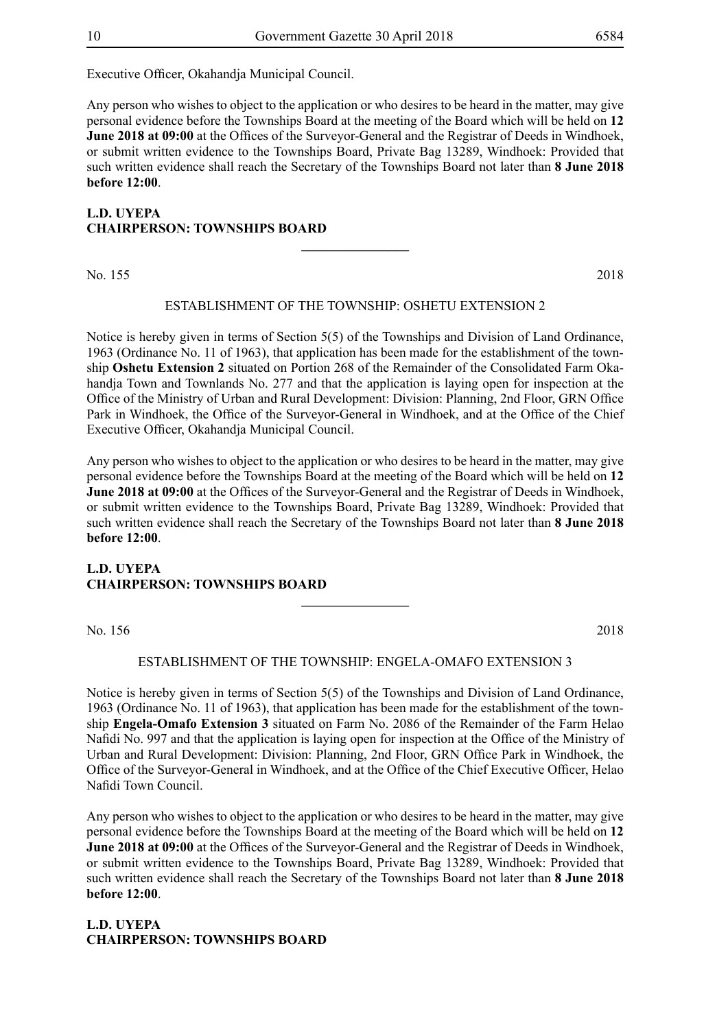Executive Officer, Okahandja Municipal Council.

Any person who wishes to object to the application or who desires to be heard in the matter, may give personal evidence before the Townships Board at the meeting of the Board which will be held on **12 June 2018 at 09:00** at the Offices of the Surveyor-General and the Registrar of Deeds in Windhoek, or submit written evidence to the Townships Board, Private Bag 13289, Windhoek: Provided that such written evidence shall reach the Secretary of the Townships Board not later than **8 June 2018 before 12:00**.

## **L.D. UYEPA CHAIRPERSON: TOWNSHIPS BOARD \_\_\_\_\_\_\_\_\_\_\_\_\_\_\_\_**

No. 155 2018

#### ESTABLISHMENT OF THE TOWNSHIP: OSHETU EXTENSION 2

Notice is hereby given in terms of Section 5(5) of the Townships and Division of Land Ordinance, 1963 (Ordinance No. 11 of 1963), that application has been made for the establishment of the township **Oshetu Extension 2** situated on Portion 268 of the Remainder of the Consolidated Farm Okahandia Town and Townlands No. 277 and that the application is laying open for inspection at the Office of the Ministry of Urban and Rural Development: Division: Planning, 2nd Floor, GRN Office Park in Windhoek, the Office of the Surveyor-General in Windhoek, and at the Office of the Chief Executive Officer, Okahandja Municipal Council.

Any person who wishes to object to the application or who desires to be heard in the matter, may give personal evidence before the Townships Board at the meeting of the Board which will be held on **12 June 2018 at 09:00** at the Offices of the Surveyor-General and the Registrar of Deeds in Windhoek, or submit written evidence to the Townships Board, Private Bag 13289, Windhoek: Provided that such written evidence shall reach the Secretary of the Townships Board not later than **8 June 2018 before 12:00**.

## **L.D. UYEPA CHAIRPERSON: TOWNSHIPS BOARD**

No. 156 2018

#### ESTABLISHMENT OF THE TOWNSHIP: ENGELA-OMAFO EXTENSION 3

**\_\_\_\_\_\_\_\_\_\_\_\_\_\_\_\_**

Notice is hereby given in terms of Section 5(5) of the Townships and Division of Land Ordinance, 1963 (Ordinance No. 11 of 1963), that application has been made for the establishment of the township **Engela-Omafo Extension 3** situated on Farm No. 2086 of the Remainder of the Farm Helao Nafidi No. 997 and that the application is laying open for inspection at the Office of the Ministry of Urban and Rural Development: Division: Planning, 2nd Floor, GRN Office Park in Windhoek, the Office of the Surveyor-General in Windhoek, and at the Office of the Chief Executive Officer, Helao Nafidi Town Council.

Any person who wishes to object to the application or who desires to be heard in the matter, may give personal evidence before the Townships Board at the meeting of the Board which will be held on **12 June 2018 at 09:00** at the Offices of the Surveyor-General and the Registrar of Deeds in Windhoek, or submit written evidence to the Townships Board, Private Bag 13289, Windhoek: Provided that such written evidence shall reach the Secretary of the Townships Board not later than **8 June 2018 before 12:00**.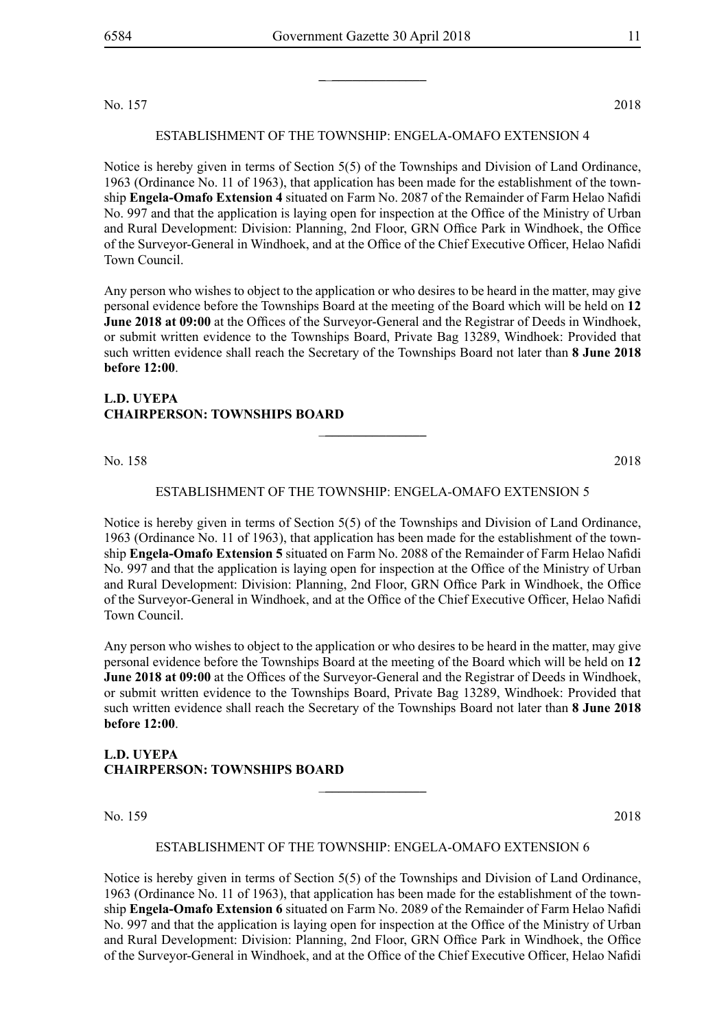No. 157 2018

ESTABLISHMENT OF THE TOWNSHIP: engela-omafo EXTENSION 4

Notice is hereby given in terms of Section 5(5) of the Townships and Division of Land Ordinance, 1963 (Ordinance No. 11 of 1963), that application has been made for the establishment of the township **Engela-Omafo Extension 4** situated on Farm No. 2087 of the Remainder of Farm Helao Nafidi No. 997 and that the application is laying open for inspection at the Office of the Ministry of Urban and Rural Development: Division: Planning, 2nd Floor, GRN Office Park in Windhoek, the Office of the Surveyor-General in Windhoek, and at the Office of the Chief Executive Officer, Helao Nafidi Town Council.

Any person who wishes to object to the application or who desires to be heard in the matter, may give personal evidence before the Townships Board at the meeting of the Board which will be held on **12 June 2018 at 09:00** at the Offices of the Surveyor-General and the Registrar of Deeds in Windhoek, or submit written evidence to the Townships Board, Private Bag 13289, Windhoek: Provided that such written evidence shall reach the Secretary of the Townships Board not later than **8 June 2018 before 12:00**.

## **L.D. UYEPA CHAIRPERSON: TOWNSHIPS BOARD**

No. 158 2018

#### ESTABLISHMENT OF THE TOWNSHIP: engela-omafo EXTENSION 5

\_**\_\_\_\_\_\_\_\_\_\_\_\_\_\_\_**

Notice is hereby given in terms of Section 5(5) of the Townships and Division of Land Ordinance, 1963 (Ordinance No. 11 of 1963), that application has been made for the establishment of the township **Engela-Omafo Extension 5** situated on Farm No. 2088 of the Remainder of Farm Helao Nafidi No. 997 and that the application is laying open for inspection at the Office of the Ministry of Urban and Rural Development: Division: Planning, 2nd Floor, GRN Office Park in Windhoek, the Office of the Surveyor-General in Windhoek, and at the Office of the Chief Executive Officer, Helao Nafidi Town Council.

Any person who wishes to object to the application or who desires to be heard in the matter, may give personal evidence before the Townships Board at the meeting of the Board which will be held on **12 June 2018 at 09:00** at the Offices of the Surveyor-General and the Registrar of Deeds in Windhoek, or submit written evidence to the Townships Board, Private Bag 13289, Windhoek: Provided that such written evidence shall reach the Secretary of the Townships Board not later than **8 June 2018 before 12:00**.

## **L.D. UYEPA CHAIRPERSON: TOWNSHIPS BOARD**

No. 159 2018

#### ESTABLISHMENT OF THE TOWNSHIP: engela-omafo EXTENSION 6

\_**\_\_\_\_\_\_\_\_\_\_\_\_\_\_\_**

Notice is hereby given in terms of Section 5(5) of the Townships and Division of Land Ordinance, 1963 (Ordinance No. 11 of 1963), that application has been made for the establishment of the township **Engela-Omafo Extension 6** situated on Farm No. 2089 of the Remainder of Farm Helao Nafidi No. 997 and that the application is laying open for inspection at the Office of the Ministry of Urban and Rural Development: Division: Planning, 2nd Floor, GRN Office Park in Windhoek, the Office of the Surveyor-General in Windhoek, and at the Office of the Chief Executive Officer, Helao Nafidi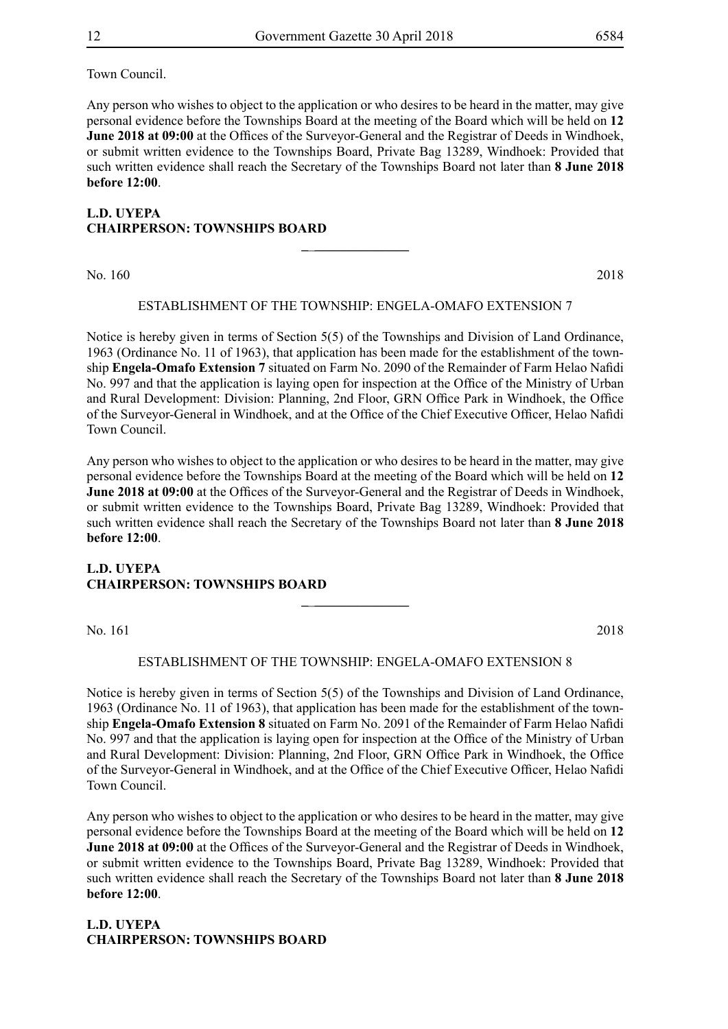Town Council.

Any person who wishes to object to the application or who desires to be heard in the matter, may give personal evidence before the Townships Board at the meeting of the Board which will be held on **12 June 2018 at 09:00** at the Offices of the Surveyor-General and the Registrar of Deeds in Windhoek, or submit written evidence to the Townships Board, Private Bag 13289, Windhoek: Provided that such written evidence shall reach the Secretary of the Townships Board not later than **8 June 2018 before 12:00**.

## **L.D. UYEPA CHAIRPERSON: TOWNSHIPS BOARD \_**\_**\_\_\_\_\_\_\_\_\_\_\_\_\_\_**

No. 160 2018

#### ESTABLISHMENT OF THE TOWNSHIP: engela-omafo EXTENSION 7

Notice is hereby given in terms of Section 5(5) of the Townships and Division of Land Ordinance, 1963 (Ordinance No. 11 of 1963), that application has been made for the establishment of the township **Engela-Omafo Extension 7** situated on Farm No. 2090 of the Remainder of Farm Helao Nafidi No. 997 and that the application is laying open for inspection at the Office of the Ministry of Urban and Rural Development: Division: Planning, 2nd Floor, GRN Office Park in Windhoek, the Office of the Surveyor-General in Windhoek, and at the Office of the Chief Executive Officer, Helao Nafidi Town Council.

Any person who wishes to object to the application or who desires to be heard in the matter, may give personal evidence before the Townships Board at the meeting of the Board which will be held on **12 June 2018 at 09:00** at the Offices of the Surveyor-General and the Registrar of Deeds in Windhoek, or submit written evidence to the Townships Board, Private Bag 13289, Windhoek: Provided that such written evidence shall reach the Secretary of the Townships Board not later than **8 June 2018 before 12:00**.

## **L.D. UYEPA CHAIRPERSON: TOWNSHIPS BOARD**

No. 161 2018

#### ESTABLISHMENT OF THE TOWNSHIP: engela-omafo EXTENSION 8

**\_**\_**\_\_\_\_\_\_\_\_\_\_\_\_\_\_**

Notice is hereby given in terms of Section 5(5) of the Townships and Division of Land Ordinance, 1963 (Ordinance No. 11 of 1963), that application has been made for the establishment of the township **Engela-Omafo Extension 8** situated on Farm No. 2091 of the Remainder of Farm Helao Nafidi No. 997 and that the application is laying open for inspection at the Office of the Ministry of Urban and Rural Development: Division: Planning, 2nd Floor, GRN Office Park in Windhoek, the Office of the Surveyor-General in Windhoek, and at the Office of the Chief Executive Officer, Helao Nafidi Town Council.

Any person who wishes to object to the application or who desires to be heard in the matter, may give personal evidence before the Townships Board at the meeting of the Board which will be held on **12 June 2018 at 09:00** at the Offices of the Surveyor-General and the Registrar of Deeds in Windhoek, or submit written evidence to the Townships Board, Private Bag 13289, Windhoek: Provided that such written evidence shall reach the Secretary of the Townships Board not later than **8 June 2018 before 12:00**.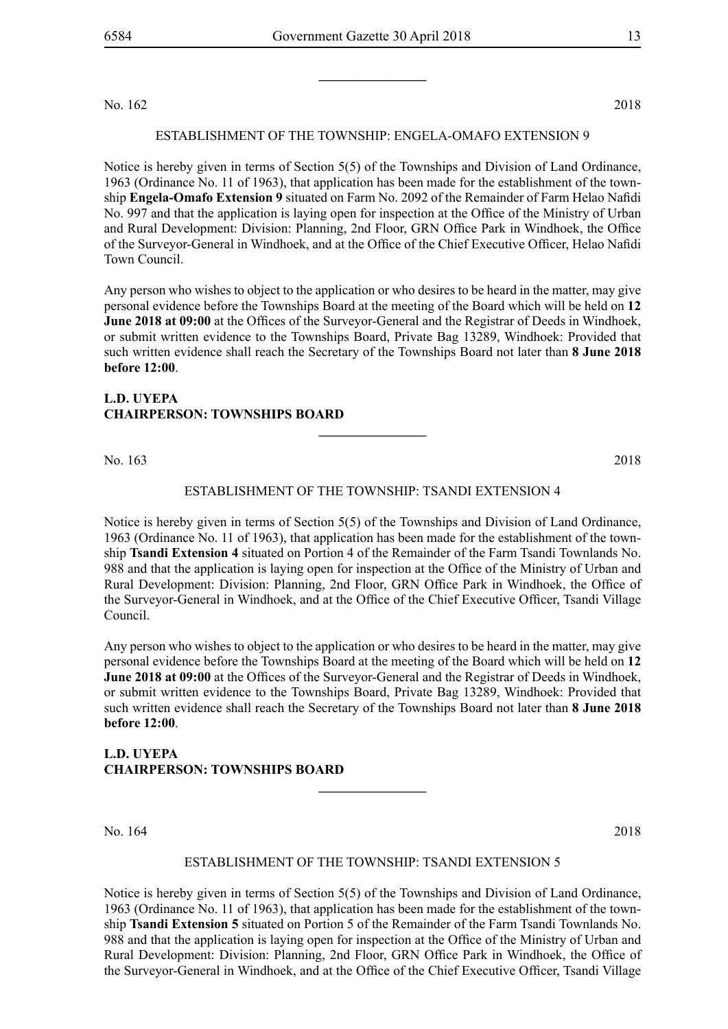No. 162 2018

## ESTABLISHMENT OF THE TOWNSHIP: engela-omafo EXTENSION 9

Notice is hereby given in terms of Section 5(5) of the Townships and Division of Land Ordinance, 1963 (Ordinance No. 11 of 1963), that application has been made for the establishment of the township **Engela-Omafo Extension 9** situated on Farm No. 2092 of the Remainder of Farm Helao Nafidi No. 997 and that the application is laying open for inspection at the Office of the Ministry of Urban and Rural Development: Division: Planning, 2nd Floor, GRN Office Park in Windhoek, the Office of the Surveyor-General in Windhoek, and at the Office of the Chief Executive Officer, Helao Nafidi Town Council.

Any person who wishes to object to the application or who desires to be heard in the matter, may give personal evidence before the Townships Board at the meeting of the Board which will be held on **12 June 2018 at 09:00** at the Offices of the Surveyor-General and the Registrar of Deeds in Windhoek, or submit written evidence to the Townships Board, Private Bag 13289, Windhoek: Provided that such written evidence shall reach the Secretary of the Townships Board not later than **8 June 2018 before 12:00**.

## **L.D. UYEPA CHAIRPERSON: TOWNSHIPS BOARD**

No. 163 2018

## ESTABLISHMENT OF THE TOWNSHIP: TSANDI extension 4

**\_\_\_\_\_\_\_\_\_\_\_\_\_\_\_\_**

Notice is hereby given in terms of Section 5(5) of the Townships and Division of Land Ordinance, 1963 (Ordinance No. 11 of 1963), that application has been made for the establishment of the township **Tsandi Extension 4** situated on Portion 4 of the Remainder of the Farm Tsandi Townlands No. 988 and that the application is laying open for inspection at the Office of the Ministry of Urban and Rural Development: Division: Planning, 2nd Floor, GRN Office Park in Windhoek, the Office of the Surveyor-General in Windhoek, and at the Office of the Chief Executive Officer, Tsandi Village Council.

Any person who wishes to object to the application or who desires to be heard in the matter, may give personal evidence before the Townships Board at the meeting of the Board which will be held on **12 June 2018 at 09:00** at the Offices of the Surveyor-General and the Registrar of Deeds in Windhoek, or submit written evidence to the Townships Board, Private Bag 13289, Windhoek: Provided that such written evidence shall reach the Secretary of the Townships Board not later than **8 June 2018 before 12:00**.

## **L.D. UYEPA CHAIRPERSON: TOWNSHIPS BOARD**

No. 164 2018

## ESTABLISHMENT OF THE TOWNSHIP: TSANDI extension 5

**\_\_\_\_\_\_\_\_\_\_\_\_\_\_\_\_**

Notice is hereby given in terms of Section 5(5) of the Townships and Division of Land Ordinance, 1963 (Ordinance No. 11 of 1963), that application has been made for the establishment of the township **Tsandi Extension 5** situated on Portion 5 of the Remainder of the Farm Tsandi Townlands No. 988 and that the application is laying open for inspection at the Office of the Ministry of Urban and Rural Development: Division: Planning, 2nd Floor, GRN Office Park in Windhoek, the Office of the Surveyor-General in Windhoek, and at the Office of the Chief Executive Officer, Tsandi Village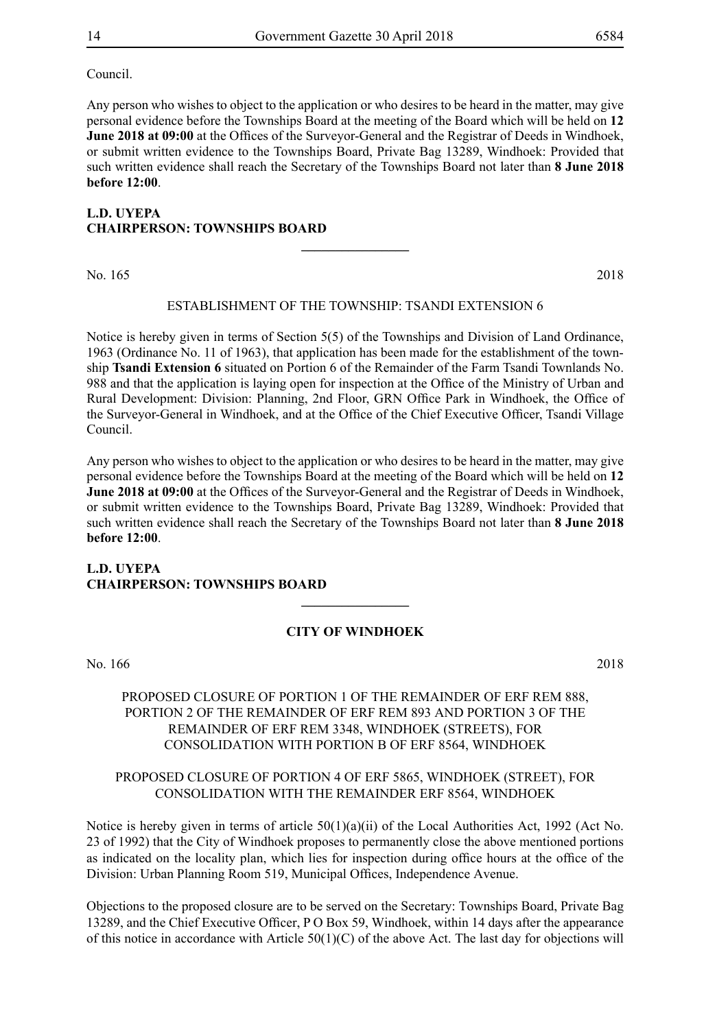Council.

Any person who wishes to object to the application or who desires to be heard in the matter, may give personal evidence before the Townships Board at the meeting of the Board which will be held on **12 June 2018 at 09:00** at the Offices of the Surveyor-General and the Registrar of Deeds in Windhoek, or submit written evidence to the Townships Board, Private Bag 13289, Windhoek: Provided that such written evidence shall reach the Secretary of the Townships Board not later than **8 June 2018 before 12:00**.

## **L.D. UYEPA CHAIRPERSON: TOWNSHIPS BOARD \_\_\_\_\_\_\_\_\_\_\_\_\_\_\_\_**

No. 165 2018

#### ESTABLISHMENT OF THE TOWNSHIP: TSANDI extension 6

Notice is hereby given in terms of Section 5(5) of the Townships and Division of Land Ordinance, 1963 (Ordinance No. 11 of 1963), that application has been made for the establishment of the township **Tsandi Extension 6** situated on Portion 6 of the Remainder of the Farm Tsandi Townlands No. 988 and that the application is laying open for inspection at the Office of the Ministry of Urban and Rural Development: Division: Planning, 2nd Floor, GRN Office Park in Windhoek, the Office of the Surveyor-General in Windhoek, and at the Office of the Chief Executive Officer, Tsandi Village Council.

Any person who wishes to object to the application or who desires to be heard in the matter, may give personal evidence before the Townships Board at the meeting of the Board which will be held on **12 June 2018 at 09:00** at the Offices of the Surveyor-General and the Registrar of Deeds in Windhoek, or submit written evidence to the Townships Board, Private Bag 13289, Windhoek: Provided that such written evidence shall reach the Secretary of the Townships Board not later than **8 June 2018 before 12:00**.

## **L.D. UYEPA CHAIRPERSON: TOWNSHIPS BOARD**

## **CITY OF WINDHOEK**

**\_\_\_\_\_\_\_\_\_\_\_\_\_\_\_\_**

No. 166 2018

## PROPOSED CLOSURE OF PORTION 1 OF THE REMAINDER OF ERF REM 888, PORTION 2 OF THE REMAINDER OF ERF REM 893 AND PORTION 3 OF THE REMAINDER OF ERF REM 3348, WINDHOEK (STREETS), FOR CONSOLIDATION WITH PORTION B OF ERF 8564, WINDHOEK

## PROPOSED CLOSURE OF PORTION 4 OF ERF 5865, WINDHOEK (STREET), FOR CONSOLIDATION WITH THE REMAINDER ERF 8564, WINDHOEK

Notice is hereby given in terms of article  $50(1)(a)(ii)$  of the Local Authorities Act, 1992 (Act No. 23 of 1992) that the City of Windhoek proposes to permanently close the above mentioned portions as indicated on the locality plan, which lies for inspection during office hours at the office of the Division: Urban Planning Room 519, Municipal Offices, Independence Avenue.

Objections to the proposed closure are to be served on the Secretary: Townships Board, Private Bag 13289, and the Chief Executive Officer, P O Box 59, Windhoek, within 14 days after the appearance of this notice in accordance with Article 50(1)(C) of the above Act. The last day for objections will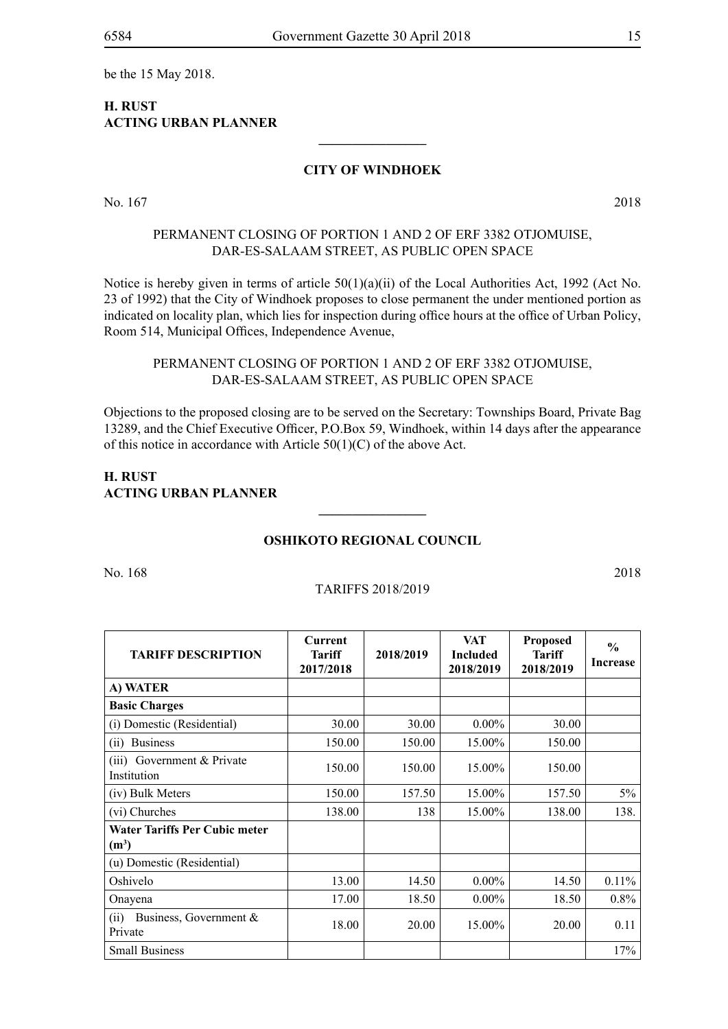be the 15 May 2018.

## **H. RUST ACTING URBAN PLANNER**

## **CITY OF WINDHOEK**

**\_\_\_\_\_\_\_\_\_\_\_\_\_\_\_\_**

No. 167 2018

## PERMANENT CLOSING OF PORTION 1 AND 2 OF ERF 3382 OTJOMUISE, DAR-ES-SALAAM STREET, AS PUBLIC OPEN SPACE

Notice is hereby given in terms of article  $50(1)(a)(ii)$  of the Local Authorities Act, 1992 (Act No. 23 of 1992) that the City of Windhoek proposes to close permanent the under mentioned portion as indicated on locality plan, which lies for inspection during office hours at the office of Urban Policy, Room 514, Municipal Offices, Independence Avenue,

## PERMANENT CLOSING OF PORTION 1 AND 2 OF ERF 3382 OTJOMUISE, DAR-ES-SALAAM STREET, AS PUBLIC OPEN SPACE

Objections to the proposed closing are to be served on the Secretary: Townships Board, Private Bag 13289, and the Chief Executive Officer, P.O.Box 59, Windhoek, within 14 days after the appearance of this notice in accordance with Article 50(1)(C) of the above Act.

## **H. Rust Acting Urban Planner**

## **Oshikoto Regional Council**

**\_\_\_\_\_\_\_\_\_\_\_\_\_\_\_\_**

No. 168 2018

#### Tariffs 2018/2019

| <b>TARIFF DESCRIPTION</b>                       | <b>Current</b><br>Tariff<br>2017/2018 | 2018/2019 | <b>VAT</b><br><b>Included</b><br>2018/2019 | <b>Proposed</b><br><b>Tariff</b><br>2018/2019 | $\frac{0}{0}$<br><b>Increase</b> |
|-------------------------------------------------|---------------------------------------|-----------|--------------------------------------------|-----------------------------------------------|----------------------------------|
| A) WATER                                        |                                       |           |                                            |                                               |                                  |
| <b>Basic Charges</b>                            |                                       |           |                                            |                                               |                                  |
| (i) Domestic (Residential)                      | 30.00                                 | 30.00     | $0.00\%$                                   | 30.00                                         |                                  |
| <b>Business</b><br>(i)                          | 150.00                                | 150.00    | 15.00%                                     | 150.00                                        |                                  |
| $(iii)$ Government & Private<br>Institution     | 150.00                                | 150.00    | 15.00%                                     | 150.00                                        |                                  |
| (iv) Bulk Meters                                | 150.00                                | 157.50    | 15.00%                                     | 157.50                                        | $5\%$                            |
| (vi) Churches                                   | 138.00                                | 138       | 15.00%                                     | 138.00                                        | 138.                             |
| <b>Water Tariffs Per Cubic meter</b><br>$(m^3)$ |                                       |           |                                            |                                               |                                  |
| (u) Domestic (Residential)                      |                                       |           |                                            |                                               |                                  |
| Oshivelo                                        | 13.00                                 | 14.50     | $0.00\%$                                   | 14.50                                         | $0.11\%$                         |
| Onayena                                         | 17.00                                 | 18.50     | $0.00\%$                                   | 18.50                                         | 0.8%                             |
| Business, Government &<br>(ii)<br>Private       | 18.00                                 | 20.00     | 15.00%                                     | 20.00                                         | 0.11                             |
| <b>Small Business</b>                           |                                       |           |                                            |                                               | 17%                              |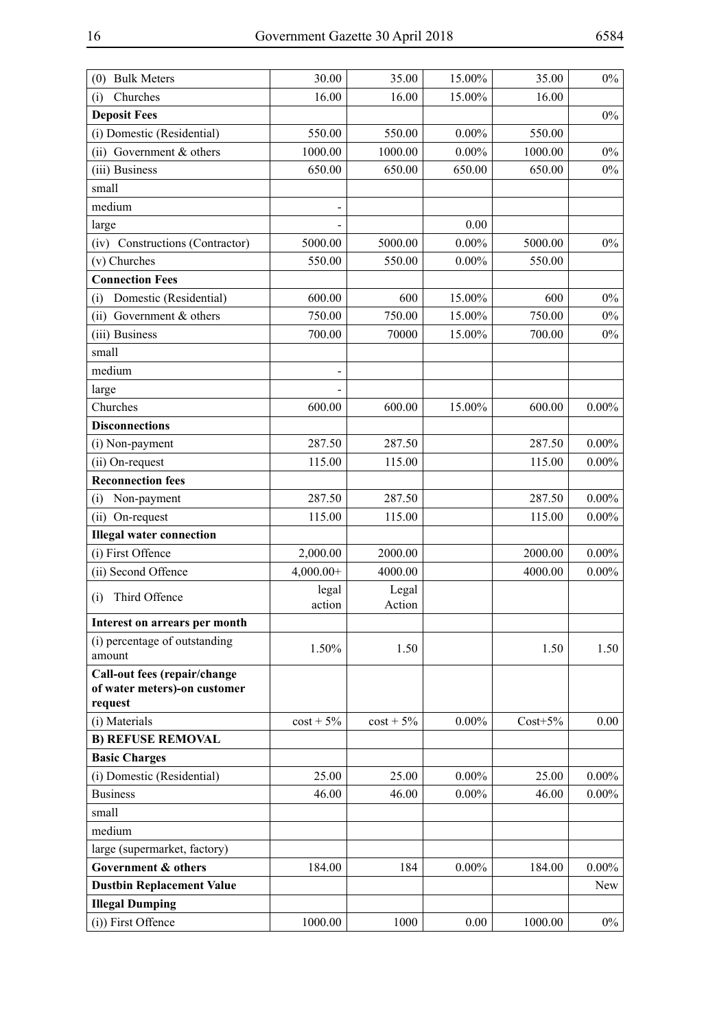| <b>Bulk Meters</b><br>(0)                                               | 30.00           | 35.00           | 15.00%   | 35.00      | $0\%$    |
|-------------------------------------------------------------------------|-----------------|-----------------|----------|------------|----------|
| Churches<br>(i)                                                         | 16.00           | 16.00           | 15.00%   | 16.00      |          |
| <b>Deposit Fees</b>                                                     |                 |                 |          |            | $0\%$    |
| (i) Domestic (Residential)                                              | 550.00          | 550.00          | $0.00\%$ | 550.00     |          |
| (ii) Government $&$ others                                              | 1000.00         | 1000.00         | $0.00\%$ | 1000.00    | $0\%$    |
| (iii) Business                                                          | 650.00          | 650.00          | 650.00   | 650.00     | $0\%$    |
| small                                                                   |                 |                 |          |            |          |
| medium                                                                  |                 |                 |          |            |          |
| large                                                                   |                 |                 | 0.00     |            |          |
| (iv) Constructions (Contractor)                                         | 5000.00         | 5000.00         | $0.00\%$ | 5000.00    | $0\%$    |
| (v) Churches                                                            | 550.00          | 550.00          | $0.00\%$ | 550.00     |          |
| <b>Connection Fees</b>                                                  |                 |                 |          |            |          |
| Domestic (Residential)<br>(i)                                           | 600.00          | 600             | 15.00%   | 600        | $0\%$    |
| (ii) Government $&$ others                                              | 750.00          | 750.00          | 15.00%   | 750.00     | $0\%$    |
| (iii) Business                                                          | 700.00          | 70000           | 15.00%   | 700.00     | $0\%$    |
| small                                                                   |                 |                 |          |            |          |
| medium                                                                  |                 |                 |          |            |          |
| large                                                                   |                 |                 |          |            |          |
| Churches                                                                | 600.00          | 600.00          | 15.00%   | 600.00     | $0.00\%$ |
| <b>Disconnections</b>                                                   |                 |                 |          |            |          |
| (i) Non-payment                                                         | 287.50          | 287.50          |          | 287.50     | $0.00\%$ |
| (ii) On-request                                                         | 115.00          | 115.00          |          | 115.00     | $0.00\%$ |
| <b>Reconnection fees</b>                                                |                 |                 |          |            |          |
| Non-payment<br>(i)                                                      | 287.50          | 287.50          |          | 287.50     | $0.00\%$ |
| (ii) On-request                                                         | 115.00          | 115.00          |          | 115.00     | $0.00\%$ |
| <b>Illegal water connection</b>                                         |                 |                 |          |            |          |
| (i) First Offence                                                       | 2,000.00        | 2000.00         |          | 2000.00    | $0.00\%$ |
| (ii) Second Offence                                                     | $4,000.00+$     | 4000.00         |          | 4000.00    | $0.00\%$ |
| Third Offence<br>(i)                                                    | legal<br>action | Legal<br>Action |          |            |          |
| Interest on arrears per month                                           |                 |                 |          |            |          |
| (i) percentage of outstanding                                           |                 |                 |          |            |          |
| amount                                                                  | 1.50%           | 1.50            |          | 1.50       | 1.50     |
| Call-out fees (repair/change<br>of water meters)-on customer<br>request |                 |                 |          |            |          |
| (i) Materials                                                           | $\cos t + 5\%$  | $\cos t + 5\%$  | $0.00\%$ | $Cost+5\%$ | 0.00     |
| <b>B) REFUSE REMOVAL</b>                                                |                 |                 |          |            |          |
| <b>Basic Charges</b>                                                    |                 |                 |          |            |          |
| (i) Domestic (Residential)                                              | 25.00           | 25.00           | $0.00\%$ | 25.00      | $0.00\%$ |
| <b>Business</b>                                                         | 46.00           | 46.00           | $0.00\%$ | 46.00      | $0.00\%$ |
| small                                                                   |                 |                 |          |            |          |
| medium                                                                  |                 |                 |          |            |          |
| large (supermarket, factory)                                            |                 |                 |          |            |          |
| Government & others                                                     | 184.00          | 184             | $0.00\%$ | 184.00     | $0.00\%$ |
| <b>Dustbin Replacement Value</b>                                        |                 |                 |          |            | New      |
| <b>Illegal Dumping</b>                                                  |                 |                 |          |            |          |
| (i)) First Offence                                                      | 1000.00         | 1000            | 0.00     | 1000.00    | $0\%$    |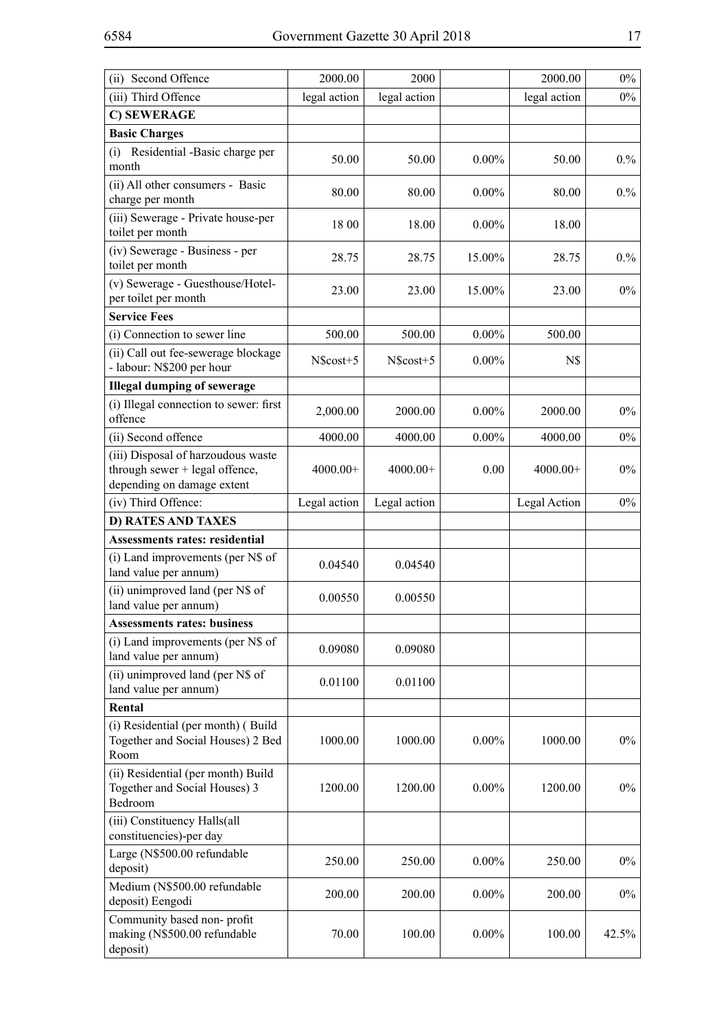| (ii) Second Offence                                                                                | 2000.00      | 2000         |          | 2000.00      | $0\%$ |
|----------------------------------------------------------------------------------------------------|--------------|--------------|----------|--------------|-------|
| (iii) Third Offence                                                                                | legal action | legal action |          | legal action | $0\%$ |
| C) SEWERAGE                                                                                        |              |              |          |              |       |
| <b>Basic Charges</b>                                                                               |              |              |          |              |       |
| (i) Residential -Basic charge per<br>month                                                         | 50.00        | 50.00        | $0.00\%$ | 50.00        | 0.%   |
| (ii) All other consumers - Basic<br>charge per month                                               | 80.00        | 80.00        | $0.00\%$ | 80.00        | 0.%   |
| (iii) Sewerage - Private house-per<br>toilet per month                                             | 18 00        | 18.00        | $0.00\%$ | 18.00        |       |
| (iv) Sewerage - Business - per<br>toilet per month                                                 | 28.75        | 28.75        | 15.00%   | 28.75        | 0.%   |
| (v) Sewerage - Guesthouse/Hotel-<br>per toilet per month                                           | 23.00        | 23.00        | 15.00%   | 23.00        | $0\%$ |
| <b>Service Fees</b>                                                                                |              |              |          |              |       |
| (i) Connection to sewer line                                                                       | 500.00       | 500.00       | $0.00\%$ | 500.00       |       |
| (ii) Call out fee-sewerage blockage<br>- labour: N\$200 per hour                                   | N\$cost+5    | N\$cost+5    | $0.00\%$ | N\$          |       |
| <b>Illegal dumping of sewerage</b>                                                                 |              |              |          |              |       |
| (i) Illegal connection to sewer: first<br>offence                                                  | 2,000.00     | 2000.00      | $0.00\%$ | 2000.00      | $0\%$ |
| (ii) Second offence                                                                                | 4000.00      | 4000.00      | $0.00\%$ | 4000.00      | $0\%$ |
| (iii) Disposal of harzoudous waste<br>through sewer + legal offence,<br>depending on damage extent | $4000.00+$   | $4000.00+$   | 0.00     | $4000.00+$   | $0\%$ |
| (iv) Third Offence:                                                                                | Legal action | Legal action |          | Legal Action | $0\%$ |
| <b>D) RATES AND TAXES</b>                                                                          |              |              |          |              |       |
| <b>Assessments rates: residential</b>                                                              |              |              |          |              |       |
| (i) Land improvements (per N\$ of<br>land value per annum)                                         | 0.04540      | 0.04540      |          |              |       |
| (ii) unimproved land (per N\$ of<br>land value per annum)                                          | 0.00550      | 0.00550      |          |              |       |
| <b>Assessments rates: business</b>                                                                 |              |              |          |              |       |
| (i) Land improvements (per N\$ of<br>land value per annum)                                         | 0.09080      | 0.09080      |          |              |       |
| (ii) unimproved land (per N\$ of<br>land value per annum)                                          | 0.01100      | 0.01100      |          |              |       |
| Rental                                                                                             |              |              |          |              |       |
| (i) Residential (per month) (Build<br>Together and Social Houses) 2 Bed<br>Room                    | 1000.00      | 1000.00      | $0.00\%$ | 1000.00      | $0\%$ |
| (ii) Residential (per month) Build<br>Together and Social Houses) 3<br>Bedroom                     | 1200.00      | 1200.00      | $0.00\%$ | 1200.00      | $0\%$ |
| (iii) Constituency Halls(all<br>constituencies)-per day                                            |              |              |          |              |       |
| Large (N\$500.00 refundable<br>deposit)                                                            | 250.00       | 250.00       | $0.00\%$ | 250.00       | $0\%$ |
| Medium (N\$500.00 refundable<br>deposit) Eengodi                                                   | 200.00       | 200.00       | $0.00\%$ | 200.00       | $0\%$ |
| Community based non-profit<br>making (N\$500.00 refundable<br>deposit)                             | 70.00        | 100.00       | $0.00\%$ | 100.00       | 42.5% |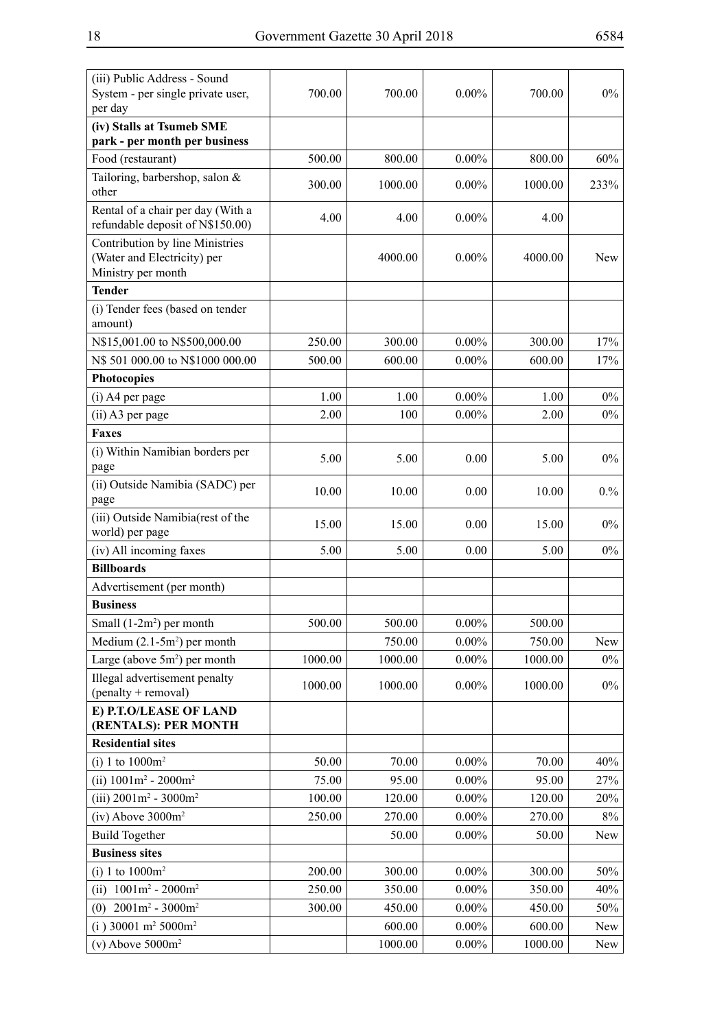| (iii) Public Address - Sound<br>System - per single private user,<br>per day         | 700.00  | 700.00  | $0.00\%$ | 700.00  | $0\%$ |
|--------------------------------------------------------------------------------------|---------|---------|----------|---------|-------|
| (iv) Stalls at Tsumeb SME                                                            |         |         |          |         |       |
| park - per month per business                                                        |         |         |          |         |       |
| Food (restaurant)                                                                    | 500.00  | 800.00  | $0.00\%$ | 800.00  | 60%   |
| Tailoring, barbershop, salon &<br>other                                              | 300.00  | 1000.00 | $0.00\%$ | 1000.00 | 233%  |
| Rental of a chair per day (With a<br>refundable deposit of N\$150.00)                | 4.00    | 4.00    | $0.00\%$ | 4.00    |       |
| Contribution by line Ministries<br>(Water and Electricity) per<br>Ministry per month |         | 4000.00 | $0.00\%$ | 4000.00 | New   |
| <b>Tender</b>                                                                        |         |         |          |         |       |
| (i) Tender fees (based on tender<br>amount)                                          |         |         |          |         |       |
| N\$15,001.00 to N\$500,000.00                                                        | 250.00  | 300.00  | $0.00\%$ | 300.00  | 17%   |
| N\$ 501 000.00 to N\$1000 000.00                                                     | 500.00  | 600.00  | $0.00\%$ | 600.00  | 17%   |
| <b>Photocopies</b>                                                                   |         |         |          |         |       |
| (i) A4 per page                                                                      | 1.00    | 1.00    | $0.00\%$ | 1.00    | $0\%$ |
| (ii) A3 per page                                                                     | 2.00    | 100     | $0.00\%$ | 2.00    | $0\%$ |
| <b>Faxes</b>                                                                         |         |         |          |         |       |
| (i) Within Namibian borders per<br>page                                              | 5.00    | 5.00    | 0.00     | 5.00    | $0\%$ |
| (ii) Outside Namibia (SADC) per<br>page                                              | 10.00   | 10.00   | 0.00     | 10.00   | 0.%   |
| (iii) Outside Namibia(rest of the<br>world) per page                                 | 15.00   | 15.00   | 0.00     | 15.00   | $0\%$ |
| (iv) All incoming faxes                                                              | 5.00    | 5.00    | 0.00     | 5.00    | $0\%$ |
| <b>Billboards</b>                                                                    |         |         |          |         |       |
| Advertisement (per month)                                                            |         |         |          |         |       |
| <b>Business</b>                                                                      |         |         |          |         |       |
| Small $(1-2m^2)$ per month                                                           | 500.00  | 500.00  | $0.00\%$ | 500.00  |       |
| Medium $(2.1-5m^2)$ per month                                                        |         | 750.00  | $0.00\%$ | 750.00  | New   |
| Large (above $5m^2$ ) per month                                                      | 1000.00 | 1000.00 | $0.00\%$ | 1000.00 | $0\%$ |
| Illegal advertisement penalty<br>(penalty + removal)                                 | 1000.00 | 1000.00 | $0.00\%$ | 1000.00 | $0\%$ |
| E) P.T.O/LEASE OF LAND<br>(RENTALS): PER MONTH                                       |         |         |          |         |       |
| <b>Residential sites</b>                                                             |         |         |          |         |       |
| (i) 1 to $1000m^2$                                                                   | 50.00   | 70.00   | $0.00\%$ | 70.00   | 40%   |
| (ii) $1001m^2 - 2000m^2$                                                             | 75.00   | 95.00   | $0.00\%$ | 95.00   | 27%   |
| (iii) $2001m^2 - 3000m^2$                                                            | 100.00  | 120.00  | $0.00\%$ | 120.00  | 20%   |
| $(iv)$ Above 3000 $m2$                                                               | 250.00  | 270.00  | $0.00\%$ | 270.00  | $8\%$ |
| <b>Build Together</b>                                                                |         | 50.00   | $0.00\%$ | 50.00   | New   |
| <b>Business sites</b>                                                                |         |         |          |         |       |
| (i) 1 to $1000m^2$                                                                   | 200.00  | 300.00  | $0.00\%$ | 300.00  | 50%   |
| $1001m^2 - 2000m^2$<br>(ii)                                                          | 250.00  | 350.00  | $0.00\%$ | 350.00  | 40%   |
| $2001m^2 - 3000m^2$<br>(0)                                                           | 300.00  | 450.00  | $0.00\%$ | 450.00  | 50%   |
| (i) 30001 m <sup>2</sup> 5000m <sup>2</sup>                                          |         | 600.00  | $0.00\%$ | 600.00  | New   |
| $(v)$ Above 5000 $m2$                                                                |         | 1000.00 | $0.00\%$ | 1000.00 | New   |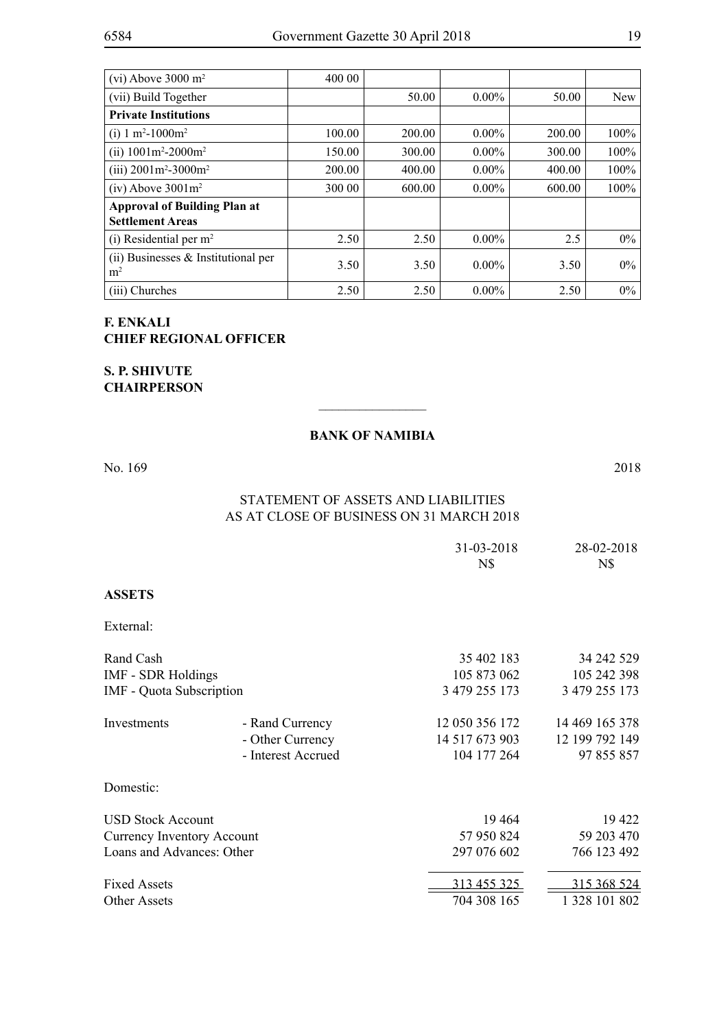| (vi) Above 3000 $m2$                                           | 400 00 |        |          |        |            |
|----------------------------------------------------------------|--------|--------|----------|--------|------------|
| (vii) Build Together                                           |        | 50.00  | $0.00\%$ | 50.00  | <b>New</b> |
| <b>Private Institutions</b>                                    |        |        |          |        |            |
| (i) 1 m <sup>2</sup> -1000m <sup>2</sup>                       | 100.00 | 200.00 | $0.00\%$ | 200.00 | $100\%$    |
| (ii) $1001m^2 - 2000m^2$                                       | 150.00 | 300.00 | $0.00\%$ | 300.00 | 100%       |
| (iii) $2001m^2 - 3000m^2$                                      | 200.00 | 400.00 | $0.00\%$ | 400.00 | 100%       |
| $(iv)$ Above 3001 $m2$                                         | 300 00 | 600.00 | $0.00\%$ | 600.00 | $100\%$    |
| <b>Approval of Building Plan at</b><br><b>Settlement Areas</b> |        |        |          |        |            |
| (i) Residential per $m2$                                       | 2.50   | 2.50   | $0.00\%$ | 2.5    | $0\%$      |
| $(ii)$ Businesses & Institutional per<br>m <sup>2</sup>        | 3.50   | 3.50   | $0.00\%$ | 3.50   | $0\%$      |
| (iii) Churches                                                 | 2.50   | 2.50   | $0.00\%$ | 2.50   | $0\%$      |

## **F. Enkali Chief Regional Officer**

## **S. P. Shivute Chairperson**

## **BANK OF NAMIBIA**

 $\overline{\phantom{a}}$  , where  $\overline{\phantom{a}}$ 

No. 169 2018

## STATEMENT OF ASSETS AND LIABILITIES As at close of business on 31 March 2018

|                                   |                    | 31-03-2018<br>N\$ | 28-02-2018<br>N\$ |
|-----------------------------------|--------------------|-------------------|-------------------|
| <b>ASSETS</b>                     |                    |                   |                   |
| External:                         |                    |                   |                   |
| Rand Cash                         |                    | 35 402 183        | 34 242 529        |
| <b>IMF - SDR Holdings</b>         |                    | 105 873 062       | 105 242 398       |
| <b>IMF</b> - Quota Subscription   |                    | 3 479 255 173     | 3 479 255 173     |
| Investments                       | - Rand Currency    | 12 050 356 172    | 14 469 165 378    |
|                                   | - Other Currency   | 14 517 673 903    | 12 199 792 149    |
|                                   | - Interest Accrued | 104 177 264       | 97 855 857        |
| Domestic:                         |                    |                   |                   |
| <b>USD Stock Account</b>          |                    | 19464             | 19 422            |
| <b>Currency Inventory Account</b> |                    | 57 950 824        | 59 203 470        |
| Loans and Advances: Other         |                    | 297 076 602       | 766 123 492       |
| <b>Fixed Assets</b>               |                    | 313 455 325       | 315 368 524       |
| <b>Other Assets</b>               |                    | 704 308 165       | 1 328 101 802     |